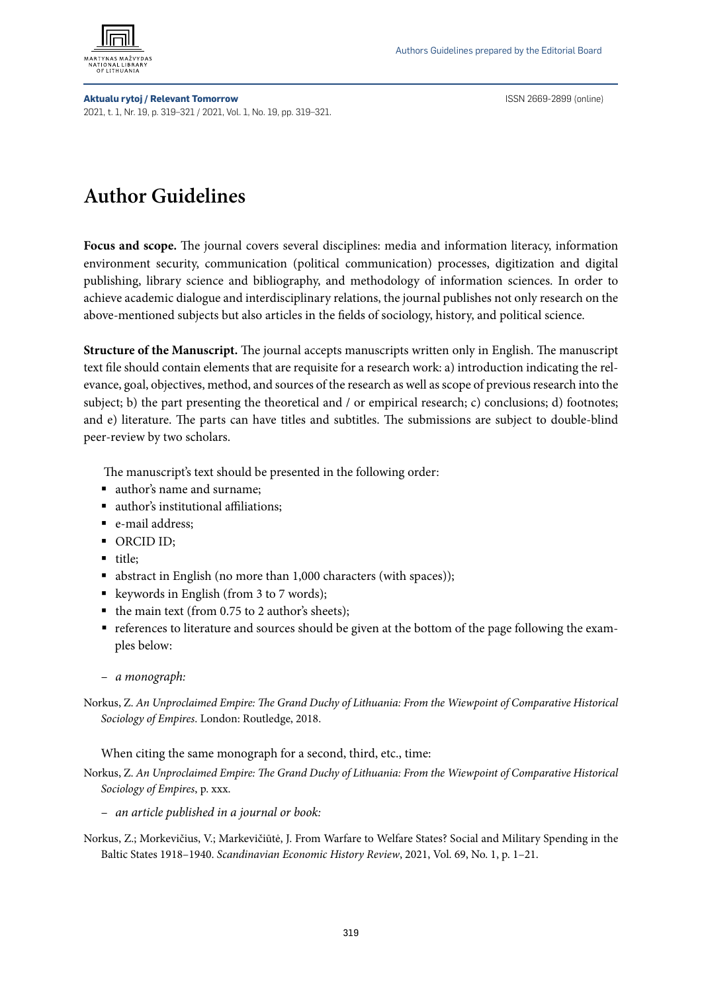

**Aktualu rytoj / Relevant Tomorrow** ISSN 2669-2899 (online) 2021, t. 1, Nr. 19, p. 319–321 / 2021, Vol. 1, No. 19, pp. 319–321.

## **Author Guidelines**

**Focus and scope.** The journal covers several disciplines: media and information literacy, information environment security, communication (political communication) processes, digitization and digital publishing, library science and bibliography, and methodology of information sciences. In order to achieve academic dialogue and interdisciplinary relations, the journal publishes not only research on the above-mentioned subjects but also articles in the fields of sociology, history, and political science.

**Structure of the Manuscript.** The journal accepts manuscripts written only in English. The manuscript text file should contain elements that are requisite for a research work: a) introduction indicating the relevance, goal, objectives, method, and sources of the research as well as scope of previous research into the subject; b) the part presenting the theoretical and / or empirical research; c) conclusions; d) footnotes; and e) literature. The parts can have titles and subtitles. The submissions are subject to double-blind peer-review by two scholars.

The manuscript's text should be presented in the following order:

- author's name and surname;
- author's institutional affiliations;
- e-mail address:
- ORCID ID:
- title;
- abstract in English (no more than 1,000 characters (with spaces));
- keywords in English (from 3 to 7 words);
- the main text (from 0.75 to 2 author's sheets);
- references to literature and sources should be given at the bottom of the page following the examples below:
- *a monograph:*
- Norkus, Z. *An Unproclaimed Empire: The Grand Duchy of Lithuania: From the Wiewpoint of Comparative Historical Sociology of Empires*. London: Routledge, 2018.

When citing the same monograph for a second, third, etc., time:

- Norkus, Z. *An Unproclaimed Empire: The Grand Duchy of Lithuania: From the Wiewpoint of Comparative Historical Sociology of Empires*, p. xxx.
	- *an article published in a journal or book:*
- Norkus, Z.; Morkevičius, V.; Markevičiūtė, J. From Warfare to Welfare States? Social and Military Spending in the Baltic States 1918–1940. *Scandinavian Economic History Review*, 2021, Vol. 69, No. 1, p. 1–21.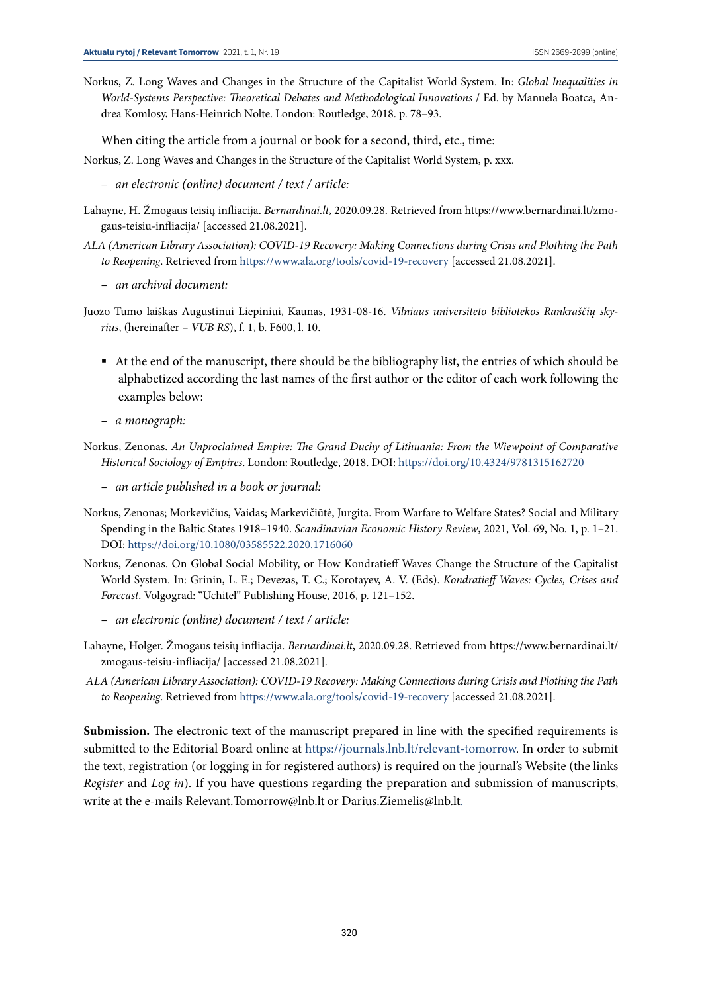Norkus, Z. Long Waves and Changes in the Structure of the Capitalist World System. In: *Global Inequalities in World-Systems Perspective: Theoretical Debates and Methodological Innovations* / Ed. by Manuela Boatca, Andrea Komlosy, Hans-Heinrich Nolte. London: Routledge, 2018. p. 78–93.

When citing the article from a journal or book for a second, third, etc., time:

Norkus, Z. Long Waves and Changes in the Structure of the Capitalist World System, p. xxx.

- *an electronic (online) document / text / article:*
- Lahayne, H. Žmogaus teisių infliacija. *Bernardinai.lt*, 2020.09.28. Retrieved from https://www.bernardinai.lt/zmogaus-teisiu-infliacija/ [accessed 21.08.2021].
- *ALA (American Library Association): COVID-19 Recovery: Making Connections during Crisis and Plothing the Path to Reopening*. Retrieved from<https://www.ala.org/tools/covid-19-recovery>[accessed 21.08.2021].
	- *an archival document:*
- Juozo Tumo laiškas Augustinui Liepiniui, Kaunas, 1931-08-16. *Vilniaus universiteto bibliotekos Rankraščių skyrius*, (hereinafter – *VUB RS*), f. 1, b. F600, l. 10.
	- At the end of the manuscript, there should be the bibliography list, the entries of which should be alphabetized according the last names of the first author or the editor of each work following the examples below:
	- *a monograph:*
- Norkus, Zenonas. *An Unproclaimed Empire: The Grand Duchy of Lithuania: From the Wiewpoint of Comparative Historical Sociology of Empires*. London: Routledge, 2018. DOI: <https://doi.org/10.4324/9781315162720>
	- *an article published in a book or journal:*
- Norkus, Zenonas; Morkevičius, Vaidas; Markevičiūtė, Jurgita. From Warfare to Welfare States? Social and Military Spending in the Baltic States 1918–1940. *Scandinavian Economic History Review*, 2021, Vol. 69, No. 1, p. 1–21. DOI:<https://doi.org/10.1080/03585522.2020.1716060>
- Norkus, Zenonas. On Global Social Mobility, or How Kondratieff Waves Change the Structure of the Capitalist World System. In: Grinin, L. E.; Devezas, T. C.; Korotayev, A. V. (Eds). *Kondratieff Waves: Cycles, Crises and Forecast*. Volgograd: "Uchitel" Publishing House, 2016, p. 121–152.
	- *an electronic (online) document / text / article:*
- Lahayne, Holger. Žmogaus teisių infliacija. *Bernardinai.lt*, 2020.09.28. Retrieved from https://www.bernardinai.lt/ zmogaus-teisiu-infliacija/ [accessed 21.08.2021].
- *ALA (American Library Association): COVID-19 Recovery: Making Connections during Crisis and Plothing the Path to Reopening*. Retrieved fro[m https://www.ala.org/tools/covid-19-recovery]( https://www.ala.org/tools/covid-19-recovery) [accessed 21.08.2021].

**Submission.** The electronic text of the manuscript prepared in line with the specified requirements is submitted to the Editorial Board online at [https://journals.lnb.lt/relevant-tomorrow.](https://journals.lnb.lt/relevant-tomorrow) In order to submit the text, registration (or logging in for registered authors) is required on the journal's Website (the links *Register* and *Log in*). If you have questions regarding the preparation and submission of manuscripts, write at the e-mails Relevant.Tomorrow@lnb.lt or Darius.Ziemelis@lnb.lt.